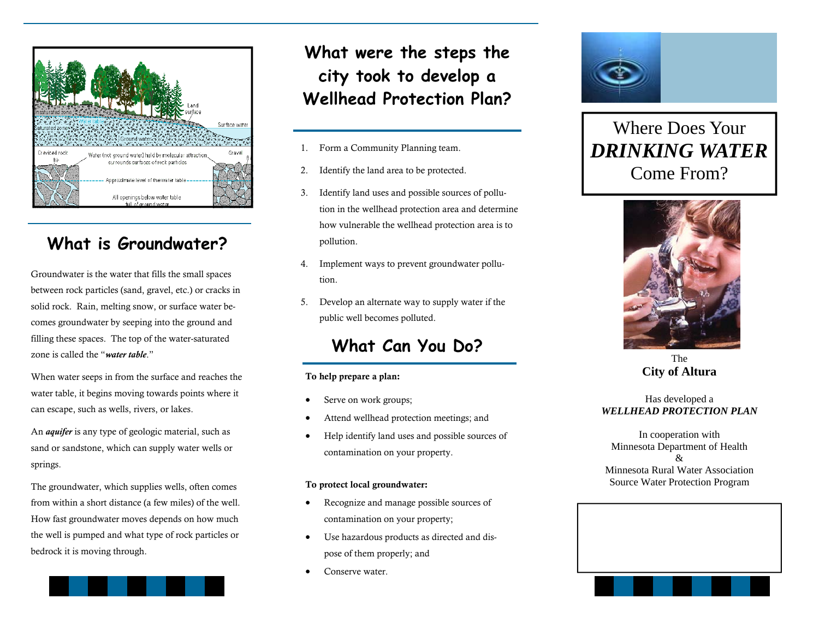

### **What is Groundwater?**

Groundwater is the water that fills the small spaces between rock particles (sand, gravel, etc.) or cracks in solid rock. Rain, melting snow, or surface water becomes groundwater by seeping into the ground and filling these spaces. The top of the water-saturated zone is called the "*water table*."

When water seeps in from the surface and reaches the water table, it begins moving towards points where it can escape, such as wells, rivers, or lakes.

An *aquifer* is any type of geologic material, such as sand or sandstone, which can supply water wells or springs.

The groundwater, which supplies wells, often comes from within a short distance (a few miles) of the well. How fast groundwater moves depends on how much the well is pumped and what type of rock particles or bedrock it is moving through.



# **What were the steps the city took to develop a Wellhead Protection Plan?**

- 1. Form a Community Planning team.
- 2. Identify the land area to be protected.
- 3. Identify land uses and possible sources of pollution in the wellhead protection area and determine how vulnerable the wellhead protection area is to pollution.
- 4. Implement ways to prevent groundwater pollution.
- 5. Develop an alternate way to supply water if the public well becomes polluted.

### **What Can You Do?**

#### To help prepare a plan:

- $\bullet$ Serve on work groups;
- $\bullet$ Attend wellhead protection meetings; and
- $\bullet$  Help identify land uses and possible sources of contamination on your property.

#### To protect local groundwater:

- $\bullet$  Recognize and manage possible sources of contamination on your property;
- $\bullet$  Use hazardous products as directed and dispose of them properly; and
- $\bullet$ Conserve water.



Where Does Your *DRINKING WATER*  Come From?



The **City of Altura** 

#### Has developed a *WELLHEAD PROTECTION PLAN*

In cooperation with Minnesota Department of Health & Minnesota Rural Water Association Source Water Protection Program